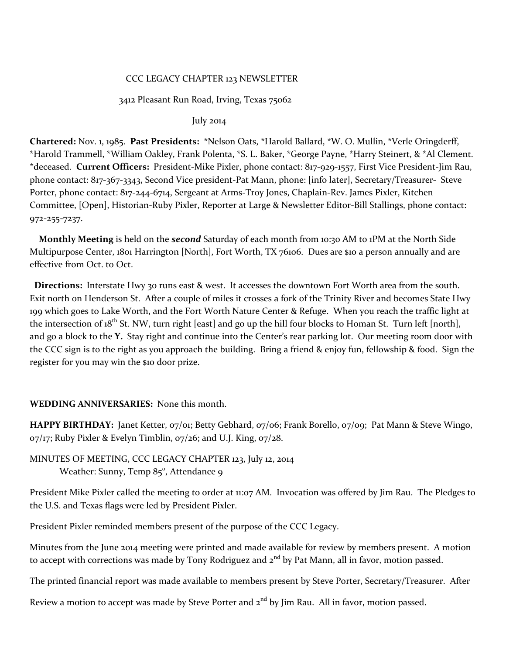### CCC LEGACY CHAPTER 123 NEWSLETTER

#### 3412 Pleasant Run Road, Irving, Texas 75062

July 2014

**Chartered:** Nov. 1, 1985. **Past Presidents:** \*Nelson Oats, \*Harold Ballard, \*W. O. Mullin, \*Verle Oringderff, \*Harold Trammell, \*William Oakley, Frank Polenta, \*S. L. Baker, \*George Payne, \*Harry Steinert, & \*Al Clement. \*deceased. **Current Officers:** President-Mike Pixler, phone contact: 817-929-1557, First Vice President-Jim Rau, phone contact: 817-367-3343, Second Vice president-Pat Mann, phone: [info later], Secretary/Treasurer- Steve Porter, phone contact: 817-244-6714, Sergeant at Arms-Troy Jones, Chaplain-Rev. James Pixler, Kitchen Committee, [Open], Historian-Ruby Pixler, Reporter at Large & Newsletter Editor-Bill Stallings, phone contact: 972-255-7237.

 **Monthly Meeting** is held on the *second* Saturday of each month from 10:30 AM to 1PM at the North Side Multipurpose Center, 1801 Harrington [North], Fort Worth, TX 76106. Dues are \$10 a person annually and are effective from Oct. to Oct.

 **Directions:** Interstate Hwy 30 runs east & west. It accesses the downtown Fort Worth area from the south. Exit north on Henderson St. After a couple of miles it crosses a fork of the Trinity River and becomes State Hwy 199 which goes to Lake Worth, and the Fort Worth Nature Center & Refuge. When you reach the traffic light at the intersection of  $18^{th}$  St. NW, turn right [east] and go up the hill four blocks to Homan St. Turn left [north], and go a block to the **Y.** Stay right and continue into the Center's rear parking lot. Our meeting room door with the CCC sign is to the right as you approach the building. Bring a friend & enjoy fun, fellowship & food. Sign the register for you may win the \$10 door prize.

### **WEDDING ANNIVERSARIES:** None this month.

**HAPPY BIRTHDAY:** Janet Ketter, 07/01; Betty Gebhard, 07/06; Frank Borello, 07/09; Pat Mann & Steve Wingo,  $07/17$ ; Ruby Pixler & Evelyn Timblin,  $07/26$ ; and U.J. King,  $07/28$ .

# MINUTES OF MEETING, CCC LEGACY CHAPTER 123, July 12, 2014 Weather: Sunny, Temp 85°, Attendance 9

President Mike Pixler called the meeting to order at 11:07 AM. Invocation was offered by Jim Rau. The Pledges to the U.S. and Texas flags were led by President Pixler.

President Pixler reminded members present of the purpose of the CCC Legacy.

Minutes from the June 2014 meeting were printed and made available for review by members present. A motion to accept with corrections was made by Tony Rodriguez and 2<sup>nd</sup> by Pat Mann, all in favor, motion passed.

The printed financial report was made available to members present by Steve Porter, Secretary/Treasurer. After

Review a motion to accept was made by Steve Porter and  $2<sup>nd</sup>$  by Jim Rau. All in favor, motion passed.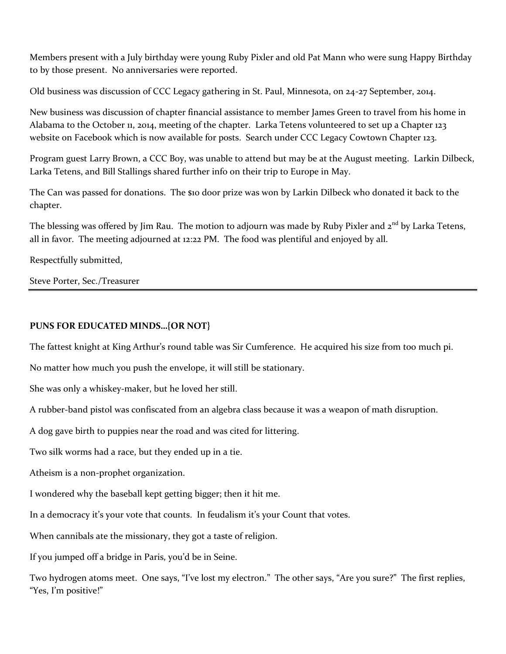Members present with a July birthday were young Ruby Pixler and old Pat Mann who were sung Happy Birthday to by those present. No anniversaries were reported.

Old business was discussion of CCC Legacy gathering in St. Paul, Minnesota, on 24-27 September, 2014.

New business was discussion of chapter financial assistance to member James Green to travel from his home in Alabama to the October 11, 2014, meeting of the chapter. Larka Tetens volunteered to set up a Chapter 123 website on Facebook which is now available for posts. Search under CCC Legacy Cowtown Chapter 123.

Program guest Larry Brown, a CCC Boy, was unable to attend but may be at the August meeting. Larkin Dilbeck, Larka Tetens, and Bill Stallings shared further info on their trip to Europe in May.

The Can was passed for donations. The \$10 door prize was won by Larkin Dilbeck who donated it back to the chapter.

The blessing was offered by Jim Rau. The motion to adjourn was made by Ruby Pixler and 2<sup>nd</sup> by Larka Tetens, all in favor. The meeting adjourned at 12:22 PM. The food was plentiful and enjoyed by all.

Respectfully submitted,

Steve Porter, Sec./Treasurer

# **PUNS FOR EDUCATED MINDS…{OR NOT}**

The fattest knight at King Arthur's round table was Sir Cumference. He acquired his size from too much pi.

No matter how much you push the envelope, it will still be stationary.

She was only a whiskey-maker, but he loved her still.

A rubber-band pistol was confiscated from an algebra class because it was a weapon of math disruption.

A dog gave birth to puppies near the road and was cited for littering.

Two silk worms had a race, but they ended up in a tie.

Atheism is a non-prophet organization.

I wondered why the baseball kept getting bigger; then it hit me.

In a democracy it's your vote that counts. In feudalism it's your Count that votes.

When cannibals ate the missionary, they got a taste of religion.

If you jumped off a bridge in Paris, you'd be in Seine.

Two hydrogen atoms meet. One says, "I've lost my electron." The other says, "Are you sure?" The first replies, "Yes, I'm positive!"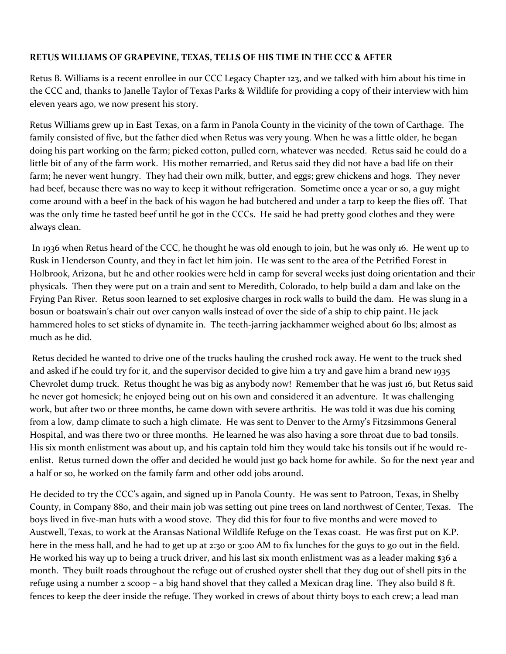# **RETUS WILLIAMS OF GRAPEVINE, TEXAS, TELLS OF HIS TIME IN THE CCC & AFTER**

Retus B. Williams is a recent enrollee in our CCC Legacy Chapter 123, and we talked with him about his time in the CCC and, thanks to Janelle Taylor of Texas Parks & Wildlife for providing a copy of their interview with him eleven years ago, we now present his story.

Retus Williams grew up in East Texas, on a farm in Panola County in the vicinity of the town of Carthage. The family consisted of five, but the father died when Retus was very young. When he was a little older, he began doing his part working on the farm; picked cotton, pulled corn, whatever was needed. Retus said he could do a little bit of any of the farm work. His mother remarried, and Retus said they did not have a bad life on their farm; he never went hungry. They had their own milk, butter, and eggs; grew chickens and hogs. They never had beef, because there was no way to keep it without refrigeration. Sometime once a year or so, a guy might come around with a beef in the back of his wagon he had butchered and under a tarp to keep the flies off. That was the only time he tasted beef until he got in the CCCs. He said he had pretty good clothes and they were always clean.

In 1936 when Retus heard of the CCC, he thought he was old enough to join, but he was only 16. He went up to Rusk in Henderson County, and they in fact let him join. He was sent to the area of the Petrified Forest in Holbrook, Arizona, but he and other rookies were held in camp for several weeks just doing orientation and their physicals. Then they were put on a train and sent to Meredith, Colorado, to help build a dam and lake on the Frying Pan River. Retus soon learned to set explosive charges in rock walls to build the dam. He was slung in a bosun or boatswain's chair out over canyon walls instead of over the side of a ship to chip paint. He jack hammered holes to set sticks of dynamite in. The teeth-jarring jackhammer weighed about 60 lbs; almost as much as he did.

Retus decided he wanted to drive one of the trucks hauling the crushed rock away. He went to the truck shed and asked if he could try for it, and the supervisor decided to give him a try and gave him a brand new 1935 Chevrolet dump truck. Retus thought he was big as anybody now! Remember that he was just 16, but Retus said he never got homesick; he enjoyed being out on his own and considered it an adventure. It was challenging work, but after two or three months, he came down with severe arthritis. He was told it was due his coming from a low, damp climate to such a high climate. He was sent to Denver to the Army's Fitzsimmons General Hospital, and was there two or three months. He learned he was also having a sore throat due to bad tonsils. His six month enlistment was about up, and his captain told him they would take his tonsils out if he would reenlist. Retus turned down the offer and decided he would just go back home for awhile. So for the next year and a half or so, he worked on the family farm and other odd jobs around.

He decided to try the CCC's again, and signed up in Panola County. He was sent to Patroon, Texas, in Shelby County, in Company 880, and their main job was setting out pine trees on land northwest of Center, Texas. The boys lived in five-man huts with a wood stove. They did this for four to five months and were moved to Austwell, Texas, to work at the Aransas National Wildlife Refuge on the Texas coast. He was first put on K.P. here in the mess hall, and he had to get up at 2:30 or 3:00 AM to fix lunches for the guys to go out in the field. He worked his way up to being a truck driver, and his last six month enlistment was as a leader making \$36 a month. They built roads throughout the refuge out of crushed oyster shell that they dug out of shell pits in the refuge using a number 2 scoop – a big hand shovel that they called a Mexican drag line. They also build 8 ft. fences to keep the deer inside the refuge. They worked in crews of about thirty boys to each crew; a lead man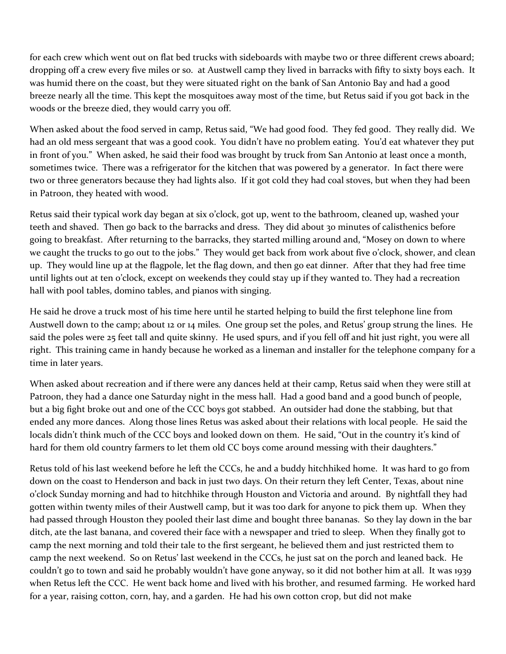for each crew which went out on flat bed trucks with sideboards with maybe two or three different crews aboard; dropping off a crew every five miles or so. at Austwell camp they lived in barracks with fifty to sixty boys each. It was humid there on the coast, but they were situated right on the bank of San Antonio Bay and had a good breeze nearly all the time. This kept the mosquitoes away most of the time, but Retus said if you got back in the woods or the breeze died, they would carry you off.

When asked about the food served in camp, Retus said, "We had good food. They fed good. They really did. We had an old mess sergeant that was a good cook. You didn't have no problem eating. You'd eat whatever they put in front of you." When asked, he said their food was brought by truck from San Antonio at least once a month, sometimes twice. There was a refrigerator for the kitchen that was powered by a generator. In fact there were two or three generators because they had lights also. If it got cold they had coal stoves, but when they had been in Patroon, they heated with wood.

Retus said their typical work day began at six o'clock, got up, went to the bathroom, cleaned up, washed your teeth and shaved. Then go back to the barracks and dress. They did about 30 minutes of calisthenics before going to breakfast. After returning to the barracks, they started milling around and, "Mosey on down to where we caught the trucks to go out to the jobs." They would get back from work about five o'clock, shower, and clean up. They would line up at the flagpole, let the flag down, and then go eat dinner. After that they had free time until lights out at ten o'clock, except on weekends they could stay up if they wanted to. They had a recreation hall with pool tables, domino tables, and pianos with singing.

He said he drove a truck most of his time here until he started helping to build the first telephone line from Austwell down to the camp; about 12 or 14 miles. One group set the poles, and Retus' group strung the lines. He said the poles were 25 feet tall and quite skinny. He used spurs, and if you fell off and hit just right, you were all right. This training came in handy because he worked as a lineman and installer for the telephone company for a time in later years.

When asked about recreation and if there were any dances held at their camp, Retus said when they were still at Patroon, they had a dance one Saturday night in the mess hall. Had a good band and a good bunch of people, but a big fight broke out and one of the CCC boys got stabbed. An outsider had done the stabbing, but that ended any more dances. Along those lines Retus was asked about their relations with local people. He said the locals didn't think much of the CCC boys and looked down on them. He said, "Out in the country it's kind of hard for them old country farmers to let them old CC boys come around messing with their daughters."

Retus told of his last weekend before he left the CCCs, he and a buddy hitchhiked home. It was hard to go from down on the coast to Henderson and back in just two days. On their return they left Center, Texas, about nine o'clock Sunday morning and had to hitchhike through Houston and Victoria and around. By nightfall they had gotten within twenty miles of their Austwell camp, but it was too dark for anyone to pick them up. When they had passed through Houston they pooled their last dime and bought three bananas. So they lay down in the bar ditch, ate the last banana, and covered their face with a newspaper and tried to sleep. When they finally got to camp the next morning and told their tale to the first sergeant, he believed them and just restricted them to camp the next weekend. So on Retus' last weekend in the CCCs, he just sat on the porch and leaned back. He couldn't go to town and said he probably wouldn't have gone anyway, so it did not bother him at all. It was 1939 when Retus left the CCC. He went back home and lived with his brother, and resumed farming. He worked hard for a year, raising cotton, corn, hay, and a garden. He had his own cotton crop, but did not make